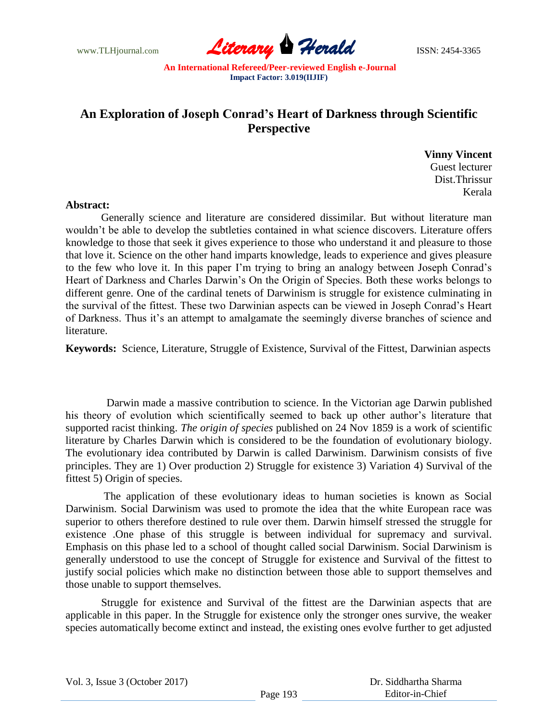

## **An Exploration of Joseph Conrad's Heart of Darkness through Scientific Perspective**

 **Vinny Vincent** Guest lecturer Dist.Thrissur **Kerala** 

## **Abstract:**

Generally science and literature are considered dissimilar. But without literature man wouldn't be able to develop the subtleties contained in what science discovers. Literature offers knowledge to those that seek it gives experience to those who understand it and pleasure to those that love it. Science on the other hand imparts knowledge, leads to experience and gives pleasure to the few who love it. In this paper I'm trying to bring an analogy between Joseph Conrad's Heart of Darkness and Charles Darwin's On the Origin of Species. Both these works belongs to different genre. One of the cardinal tenets of Darwinism is struggle for existence culminating in the survival of the fittest. These two Darwinian aspects can be viewed in Joseph Conrad's Heart of Darkness. Thus it's an attempt to amalgamate the seemingly diverse branches of science and literature.

**Keywords:** Science, Literature, Struggle of Existence, Survival of the Fittest, Darwinian aspects

 Darwin made a massive contribution to science. In the Victorian age Darwin published his theory of evolution which scientifically seemed to back up other author's literature that supported racist thinking. *The origin of species* published on 24 Nov 1859 is a work of scientific literature by Charles Darwin which is considered to be the foundation of evolutionary biology. The evolutionary idea contributed by Darwin is called Darwinism. Darwinism consists of five principles. They are 1) Over production 2) Struggle for existence 3) Variation 4) Survival of the fittest 5) Origin of species.

 The application of these evolutionary ideas to human societies is known as Social Darwinism. Social Darwinism was used to promote the idea that the white European race was superior to others therefore destined to rule over them. Darwin himself stressed the struggle for existence .One phase of this struggle is between individual for supremacy and survival. Emphasis on this phase led to a school of thought called social Darwinism. Social Darwinism is generally understood to use the concept of Struggle for existence and Survival of the fittest to justify social policies which make no distinction between those able to support themselves and those unable to support themselves.

Struggle for existence and Survival of the fittest are the Darwinian aspects that are applicable in this paper. In the Struggle for existence only the stronger ones survive, the weaker species automatically become extinct and instead, the existing ones evolve further to get adjusted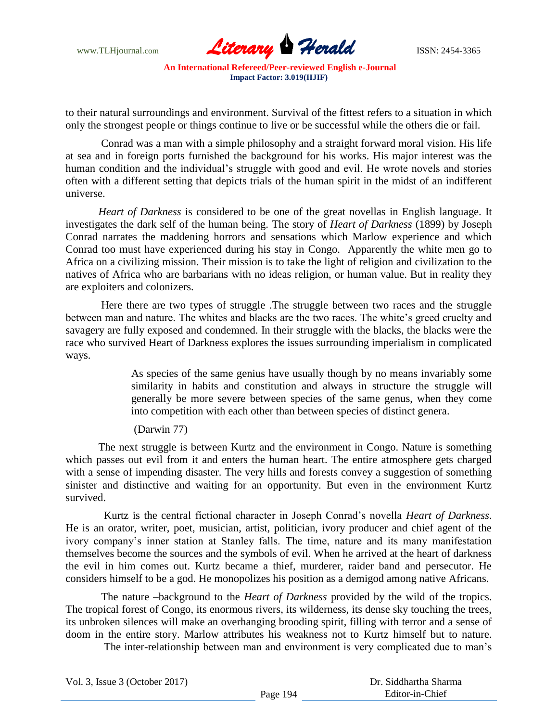www.TLHjournal.com **Literary Herald Herald ISSN: 2454-3365** 

to their natural surroundings and environment. Survival of the fittest refers to a situation in which only the strongest people or things continue to live or be successful while the others die or fail.

Conrad was a man with a simple philosophy and a straight forward moral vision. His life at sea and in foreign ports furnished the background for his works. His major interest was the human condition and the individual's struggle with good and evil. He wrote novels and stories often with a different setting that depicts trials of the human spirit in the midst of an indifferent universe.

*Heart of Darkness* is considered to be one of the great novellas in English language. It investigates the dark self of the human being. The story of *Heart of Darkness* (1899) by Joseph Conrad narrates the maddening horrors and sensations which Marlow experience and which Conrad too must have experienced during his stay in Congo. Apparently the white men go to Africa on a civilizing mission. Their mission is to take the light of religion and civilization to the natives of Africa who are barbarians with no ideas religion, or human value. But in reality they are exploiters and colonizers.

Here there are two types of struggle .The struggle between two races and the struggle between man and nature. The whites and blacks are the two races. The white's greed cruelty and savagery are fully exposed and condemned. In their struggle with the blacks, the blacks were the race who survived Heart of Darkness explores the issues surrounding imperialism in complicated ways.

> As species of the same genius have usually though by no means invariably some similarity in habits and constitution and always in structure the struggle will generally be more severe between species of the same genus, when they come into competition with each other than between species of distinct genera.

## (Darwin 77)

The next struggle is between Kurtz and the environment in Congo. Nature is something which passes out evil from it and enters the human heart. The entire atmosphere gets charged with a sense of impending disaster. The very hills and forests convey a suggestion of something sinister and distinctive and waiting for an opportunity. But even in the environment Kurtz survived.

 Kurtz is the central fictional character in Joseph Conrad's novella *Heart of Darkness*. He is an orator, writer, poet, musician, artist, politician, ivory producer and chief agent of the ivory company's inner station at Stanley falls. The time, nature and its many manifestation themselves become the sources and the symbols of evil. When he arrived at the heart of darkness the evil in him comes out. Kurtz became a thief, murderer, raider band and persecutor. He considers himself to be a god. He monopolizes his position as a demigod among native Africans.

The nature –background to the *Heart of Darkness* provided by the wild of the tropics. The tropical forest of Congo, its enormous rivers, its wilderness, its dense sky touching the trees, its unbroken silences will make an overhanging brooding spirit, filling with terror and a sense of doom in the entire story. Marlow attributes his weakness not to Kurtz himself but to nature.

The inter-relationship between man and environment is very complicated due to man's

Vol. 3, Issue 3 (October 2017)

 Dr. Siddhartha Sharma Editor-in-Chief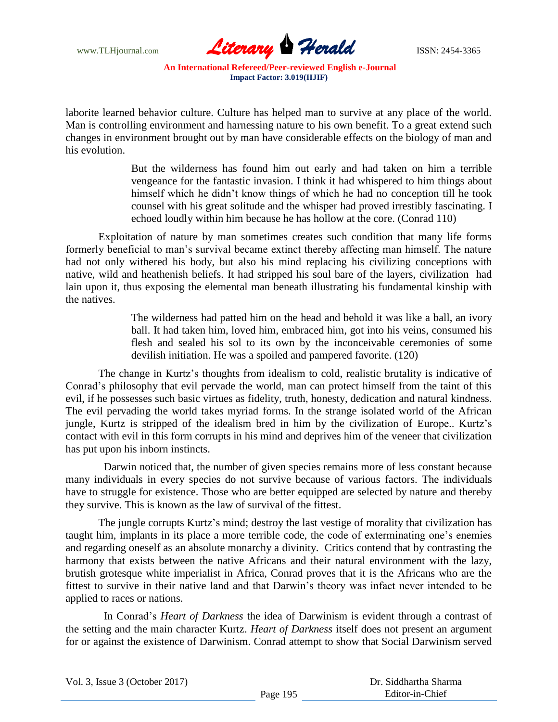

laborite learned behavior culture. Culture has helped man to survive at any place of the world. Man is controlling environment and harnessing nature to his own benefit. To a great extend such changes in environment brought out by man have considerable effects on the biology of man and his evolution.

> But the wilderness has found him out early and had taken on him a terrible vengeance for the fantastic invasion. I think it had whispered to him things about himself which he didn't know things of which he had no conception till he took counsel with his great solitude and the whisper had proved irrestibly fascinating. I echoed loudly within him because he has hollow at the core. (Conrad 110)

Exploitation of nature by man sometimes creates such condition that many life forms formerly beneficial to man's survival became extinct thereby affecting man himself. The nature had not only withered his body, but also his mind replacing his civilizing conceptions with native, wild and heathenish beliefs. It had stripped his soul bare of the layers, civilization had lain upon it, thus exposing the elemental man beneath illustrating his fundamental kinship with the natives.

> The wilderness had patted him on the head and behold it was like a ball, an ivory ball. It had taken him, loved him, embraced him, got into his veins, consumed his flesh and sealed his sol to its own by the inconceivable ceremonies of some devilish initiation. He was a spoiled and pampered favorite. (120)

The change in Kurtz's thoughts from idealism to cold, realistic brutality is indicative of Conrad's philosophy that evil pervade the world, man can protect himself from the taint of this evil, if he possesses such basic virtues as fidelity, truth, honesty, dedication and natural kindness. The evil pervading the world takes myriad forms. In the strange isolated world of the African jungle, Kurtz is stripped of the idealism bred in him by the civilization of Europe.. Kurtz's contact with evil in this form corrupts in his mind and deprives him of the veneer that civilization has put upon his inborn instincts.

 Darwin noticed that, the number of given species remains more of less constant because many individuals in every species do not survive because of various factors. The individuals have to struggle for existence. Those who are better equipped are selected by nature and thereby they survive. This is known as the law of survival of the fittest.

The jungle corrupts Kurtz's mind; destroy the last vestige of morality that civilization has taught him, implants in its place a more terrible code, the code of exterminating one's enemies and regarding oneself as an absolute monarchy a divinity. Critics contend that by contrasting the harmony that exists between the native Africans and their natural environment with the lazy, brutish grotesque white imperialist in Africa, Conrad proves that it is the Africans who are the fittest to survive in their native land and that Darwin's theory was infact never intended to be applied to races or nations.

 In Conrad's *Heart of Darkness* the idea of Darwinism is evident through a contrast of the setting and the main character Kurtz. *Heart of Darkness* itself does not present an argument for or against the existence of Darwinism. Conrad attempt to show that Social Darwinism served

|  |  |  |  | Vol. 3, Issue 3 (October 2017) |  |
|--|--|--|--|--------------------------------|--|
|--|--|--|--|--------------------------------|--|

 Dr. Siddhartha Sharma Editor-in-Chief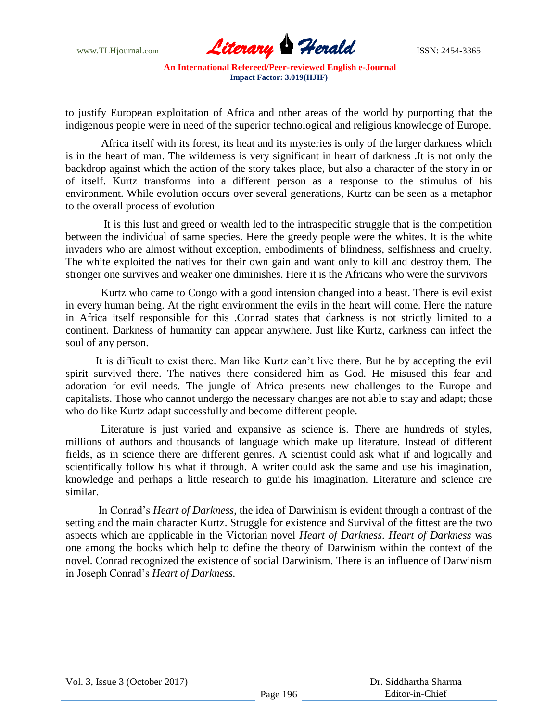

to justify European exploitation of Africa and other areas of the world by purporting that the indigenous people were in need of the superior technological and religious knowledge of Europe.

Africa itself with its forest, its heat and its mysteries is only of the larger darkness which is in the heart of man. The wilderness is very significant in heart of darkness .It is not only the backdrop against which the action of the story takes place, but also a character of the story in or of itself. Kurtz transforms into a different person as a response to the stimulus of his environment. While evolution occurs over several generations, Kurtz can be seen as a metaphor to the overall process of evolution

 It is this lust and greed or wealth led to the intraspecific struggle that is the competition between the individual of same species. Here the greedy people were the whites. It is the white invaders who are almost without exception, embodiments of blindness, selfishness and cruelty. The white exploited the natives for their own gain and want only to kill and destroy them. The stronger one survives and weaker one diminishes. Here it is the Africans who were the survivors

Kurtz who came to Congo with a good intension changed into a beast. There is evil exist in every human being. At the right environment the evils in the heart will come. Here the nature in Africa itself responsible for this .Conrad states that darkness is not strictly limited to a continent. Darkness of humanity can appear anywhere. Just like Kurtz, darkness can infect the soul of any person.

 It is difficult to exist there. Man like Kurtz can't live there. But he by accepting the evil spirit survived there. The natives there considered him as God. He misused this fear and adoration for evil needs. The jungle of Africa presents new challenges to the Europe and capitalists. Those who cannot undergo the necessary changes are not able to stay and adapt; those who do like Kurtz adapt successfully and become different people.

Literature is just varied and expansive as science is. There are hundreds of styles, millions of authors and thousands of language which make up literature. Instead of different fields, as in science there are different genres. A scientist could ask what if and logically and scientifically follow his what if through. A writer could ask the same and use his imagination, knowledge and perhaps a little research to guide his imagination. Literature and science are similar.

In Conrad's *Heart of Darkness*, the idea of Darwinism is evident through a contrast of the setting and the main character Kurtz. Struggle for existence and Survival of the fittest are the two aspects which are applicable in the Victorian novel *Heart of Darkness*. *Heart of Darkness* was one among the books which help to define the theory of Darwinism within the context of the novel. Conrad recognized the existence of social Darwinism. There is an influence of Darwinism in Joseph Conrad's *Heart of Darkness.*